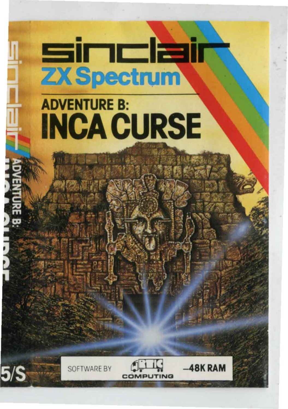## sinclair **ZX Spectrum**

## **ADVENTURE B: INCA CURSE**





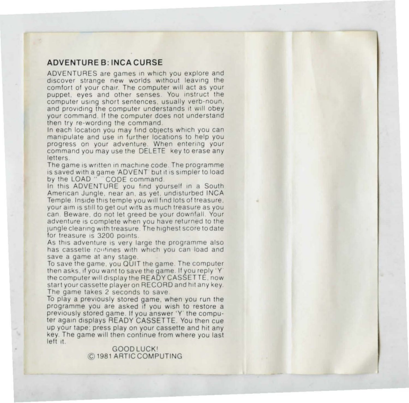## ADVENTURE B: INCA CURSE

ADVENTURES are games in which you explore and discover strange new worlds without leaving the comfort of your chair. The computer will act as your **puppet. eyes and other senses You instruct the computer using short sentences. usually verb-noun. and providing the computer understands 1t wlll obey**  your command. If the computer does not understand then try re-wording the command.

In each location you may find objects which you can **manipulate and use in further locauons to help you**  progress on your adventure. When entering your command you may use the DELETE key to erase any **letters** 

The game is written in machine code. The programme is saved with a game 'ADVENT' but it is simpler to load<br>by the LOAD " "CODE command.

In this ADVENTURE you find yourself in a South American Jungle, near an, as yet, undisturbed INCA **Temple Inside this temple you will find lots of treasure your aim is still to get out w1tb as much treasure as you can Beware . do not let greed be your downfall Your adventure 1s complete when you have returned to the 1ungle cleanng with treasure The highest score to date**  for treasure is 3200 points.

As this adventure is very large the programme also has cassette routines with which you can load and save a game at any stage.

To save the game. you QUIT the game The computer **then asks . 11 you want to save the game If you reply ·y**  the computer will display the READY CASSETTE. now start your cassette player on RECORD and hit any key **The game takes 2 seconds to save** 

To play a previously stored game. when you run the **programme you are asked ti you wish 10 restore a previously stored game . If you answer ·y the compu**ter again displays READY CASSETTE. You then cue up your tape; press play on your cassette and hit any **key The game will then continue from where you last**  left it.

> GOODLUCK1 © 1981 ARTIC COMPUTING